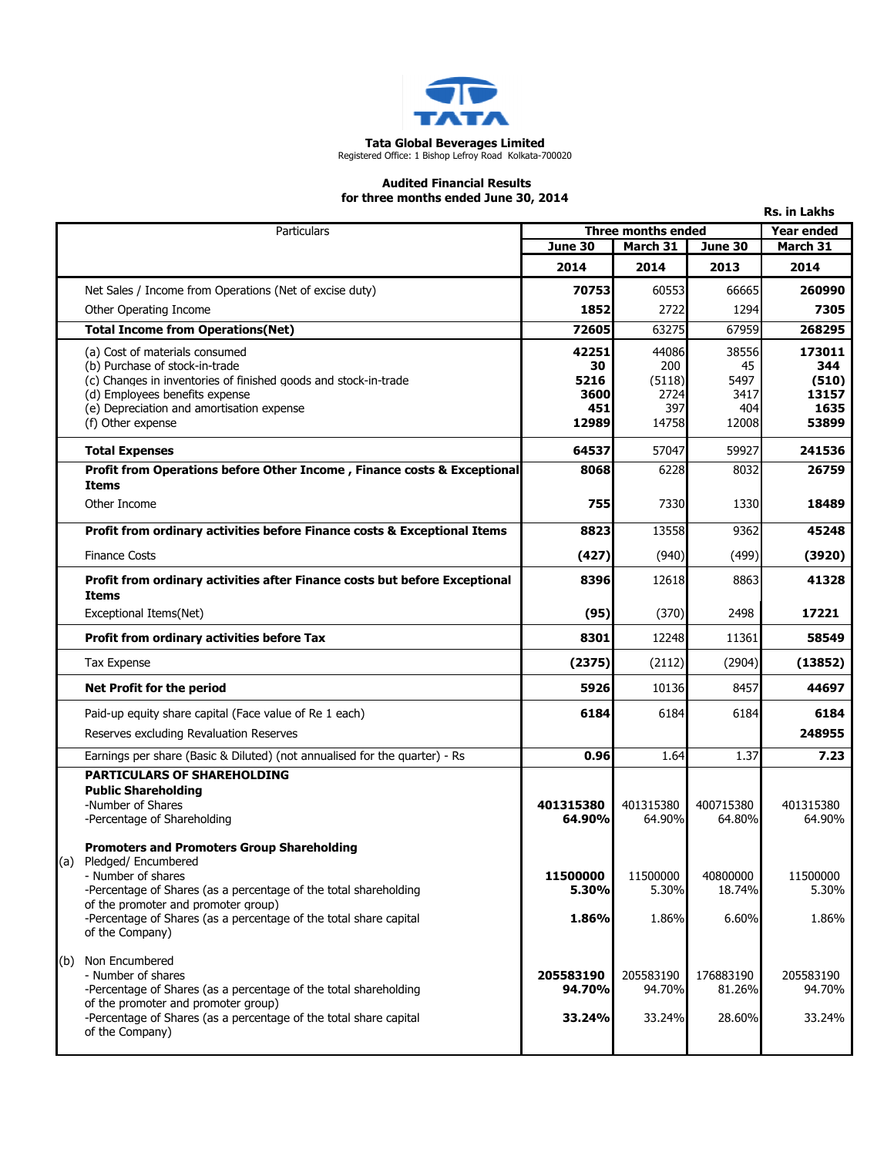

## Tata Global Beverages Limited Registered Office: 1 Bishop Lefroy Road Kolkata-700020

## Audited Financial Results for three months ended June 30, 2014

|     |                                                                                                          |                    |               |            | <b>Rs. in Lakhs</b> |
|-----|----------------------------------------------------------------------------------------------------------|--------------------|---------------|------------|---------------------|
|     | <b>Particulars</b>                                                                                       | Three months ended |               |            | <b>Year ended</b>   |
|     |                                                                                                          | June 30            | March 31      | June 30    | March 31            |
|     |                                                                                                          | 2014               | 2014          | 2013       | 2014                |
|     | Net Sales / Income from Operations (Net of excise duty)                                                  | 70753              | 60553         | 66665      | 260990              |
|     | Other Operating Income                                                                                   | 1852               | 2722          | 1294       | 7305                |
|     | <b>Total Income from Operations(Net)</b>                                                                 | 72605              | 63275         | 67959      | 268295              |
|     | (a) Cost of materials consumed                                                                           | 42251              | 44086         | 38556      | 173011              |
|     | (b) Purchase of stock-in-trade<br>(c) Changes in inventories of finished goods and stock-in-trade        | 30<br>5216         | 200<br>(5118) | 45<br>5497 | 344<br>(510)        |
|     | (d) Employees benefits expense                                                                           | 3600               | 2724          | 3417       | 13157               |
|     | (e) Depreciation and amortisation expense                                                                | 451                | 397           | 404        | 1635                |
|     | (f) Other expense                                                                                        | 12989              | 14758         | 12008      | 53899               |
|     | <b>Total Expenses</b>                                                                                    | 64537              | 57047         | 59927      | 241536              |
|     | Profit from Operations before Other Income, Finance costs & Exceptional                                  | 8068               | 6228          | 8032       | 26759               |
|     | <b>Items</b><br>Other Income                                                                             | 755                | 7330          | 1330       | 18489               |
|     |                                                                                                          | 8823               | 13558         | 9362       | 45248               |
|     | Profit from ordinary activities before Finance costs & Exceptional Items                                 |                    |               |            |                     |
|     | <b>Finance Costs</b>                                                                                     | (427)              | (940)         | (499)      | (3920)              |
|     | Profit from ordinary activities after Finance costs but before Exceptional<br>Items                      | 8396               | 12618         | 8863       | 41328               |
|     | Exceptional Items(Net)                                                                                   | (95)               | (370)         | 2498       | 17221               |
|     | <b>Profit from ordinary activities before Tax</b>                                                        | 8301               | 12248         | 11361      | 58549               |
|     | <b>Tax Expense</b>                                                                                       | (2375)             | (2112)        | (2904)     | (13852)             |
|     | Net Profit for the period                                                                                | 5926               | 10136         | 8457       | 44697               |
|     | Paid-up equity share capital (Face value of Re 1 each)                                                   | 6184               | 6184          | 6184       | 6184                |
|     | Reserves excluding Revaluation Reserves                                                                  |                    |               |            | 248955              |
|     | Earnings per share (Basic & Diluted) (not annualised for the quarter) - Rs                               | 0.96               | 1.64          | 1.37       | 7.23                |
|     | <b>PARTICULARS OF SHAREHOLDING</b>                                                                       |                    |               |            |                     |
|     | <b>Public Shareholding</b><br>-Number of Shares                                                          | 401315380          | 401315380     | 400715380  | 401315380           |
|     | -Percentage of Shareholding                                                                              | 64.90%             | 64.90%        | 64.80%     | 64.90%              |
|     | <b>Promoters and Promoters Group Shareholding</b>                                                        |                    |               |            |                     |
| (a) | Pledged/ Encumbered                                                                                      |                    |               |            |                     |
|     | - Number of shares                                                                                       | 11500000           | 11500000      | 40800000   | 11500000            |
|     | -Percentage of Shares (as a percentage of the total shareholding                                         | 5.30%              | 5.30%         | 18.74%     | 5.30%               |
|     | of the promoter and promoter group)<br>-Percentage of Shares (as a percentage of the total share capital | 1.86%              | 1.86%         | 6.60%      | 1.86%               |
|     | of the Company)                                                                                          |                    |               |            |                     |
| (b) | Non Encumbered                                                                                           |                    |               |            |                     |
|     | - Number of shares                                                                                       | 205583190          | 205583190     | 176883190  | 205583190           |
|     | -Percentage of Shares (as a percentage of the total shareholding<br>of the promoter and promoter group)  | 94.70%             | 94.70%        | 81.26%     | 94.70%              |
|     | -Percentage of Shares (as a percentage of the total share capital                                        | 33.24%             | 33.24%        | 28.60%     | 33.24%              |
|     | of the Company)                                                                                          |                    |               |            |                     |
|     |                                                                                                          |                    |               |            |                     |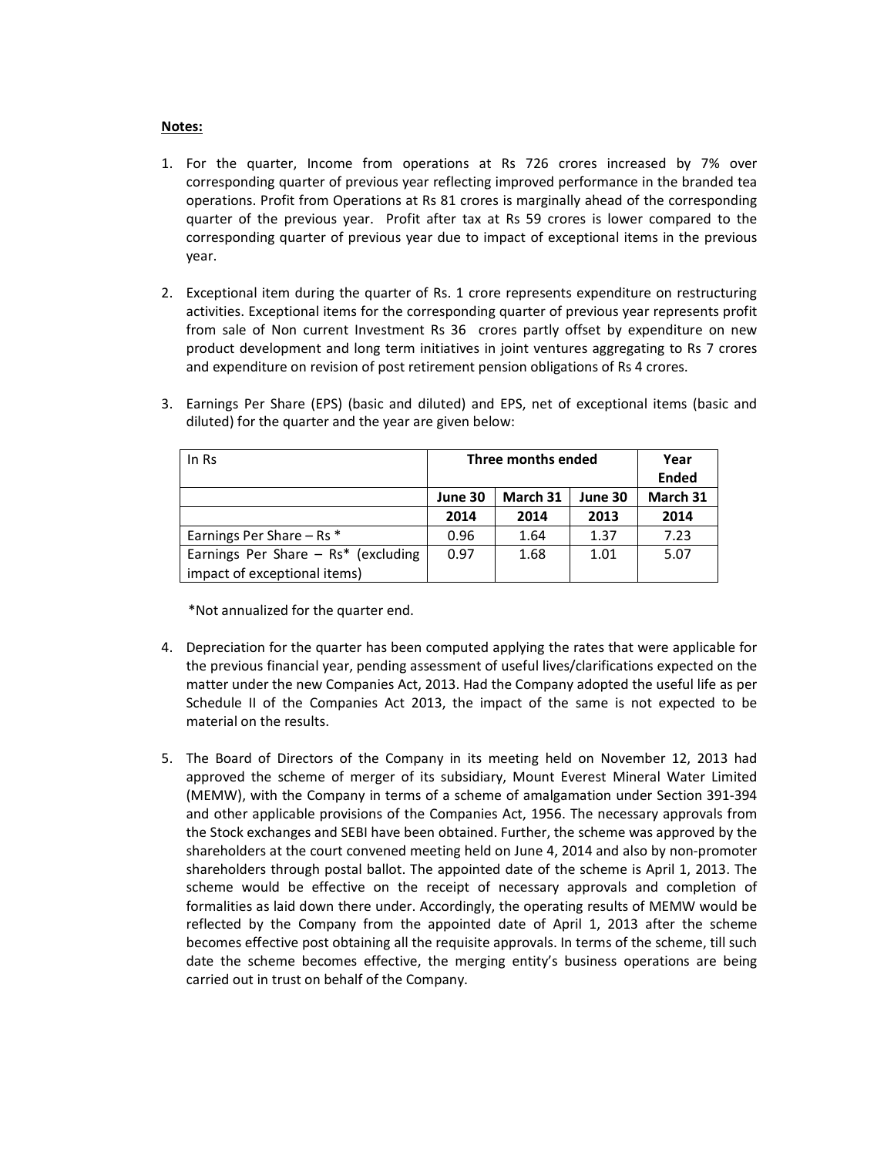## Notes:

- 1. For the quarter, Income from operations at Rs 726 crores increased by 7% over corresponding quarter of previous year reflecting improved performance in the branded tea operations. Profit from Operations at Rs 81 crores is marginally ahead of the corresponding quarter of the previous year. Profit after tax at Rs 59 crores is lower compared to the corresponding quarter of previous year due to impact of exceptional items in the previous year.
- 2. Exceptional item during the quarter of Rs. 1 crore represents expenditure on restructuring activities. Exceptional items for the corresponding quarter of previous year represents profit from sale of Non current Investment Rs 36 crores partly offset by expenditure on new product development and long term initiatives in joint ventures aggregating to Rs 7 crores and expenditure on revision of post retirement pension obligations of Rs 4 crores.

| In Rs                                 | Three months ended |          | Year    |              |
|---------------------------------------|--------------------|----------|---------|--------------|
|                                       |                    |          |         | <b>Ended</b> |
|                                       | June 30            | March 31 | June 30 | March 31     |
|                                       | 2014               | 2014     | 2013    | 2014         |
| Earnings Per Share $-$ Rs $*$         | 0.96               | 1.64     | 1.37    | 7.23         |
| Earnings Per Share $-$ Rs* (excluding | 0.97               | 1.68     | 1.01    | 5.07         |
| impact of exceptional items)          |                    |          |         |              |

3. Earnings Per Share (EPS) (basic and diluted) and EPS, net of exceptional items (basic and diluted) for the quarter and the year are given below:

\*Not annualized for the quarter end.

- 4. Depreciation for the quarter has been computed applying the rates that were applicable for the previous financial year, pending assessment of useful lives/clarifications expected on the matter under the new Companies Act, 2013. Had the Company adopted the useful life as per Schedule II of the Companies Act 2013, the impact of the same is not expected to be material on the results.
- 5. The Board of Directors of the Company in its meeting held on November 12, 2013 had approved the scheme of merger of its subsidiary, Mount Everest Mineral Water Limited (MEMW), with the Company in terms of a scheme of amalgamation under Section 391-394 and other applicable provisions of the Companies Act, 1956. The necessary approvals from the Stock exchanges and SEBI have been obtained. Further, the scheme was approved by the shareholders at the court convened meeting held on June 4, 2014 and also by non-promoter shareholders through postal ballot. The appointed date of the scheme is April 1, 2013. The scheme would be effective on the receipt of necessary approvals and completion of formalities as laid down there under. Accordingly, the operating results of MEMW would be reflected by the Company from the appointed date of April 1, 2013 after the scheme becomes effective post obtaining all the requisite approvals. In terms of the scheme, till such date the scheme becomes effective, the merging entity's business operations are being carried out in trust on behalf of the Company.